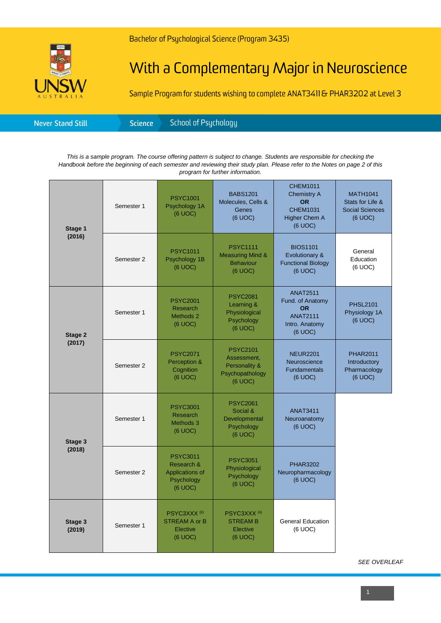

Bachelor of Psychological Science (Program 3435)

## With a Complementary Major in Neuroscience

Sample Program for students wishing to complete ANAT3411 & PHAR3202 at Level 3

| <b>Science</b><br><b>Never Stand Still</b> |
|--------------------------------------------|
|--------------------------------------------|

*This is a sample program. The course offering pattern is subject to change. Students are responsible for checking the Handbook before the beginning of each semester and reviewing their study plan. Please refer to the Notes on page 2 of this program for further information.*

| Stage 1<br>(2016) | Semester 1 | <b>PSYC1001</b><br>Psychology 1A<br>(6 UOC)                               | <b>BABS1201</b><br>Molecules, Cells &<br>Genes<br>(6 UOC)                     | <b>CHEM1011</b><br><b>Chemistry A</b><br><b>OR</b><br><b>CHEM1031</b><br><b>Higher Chem A</b><br>(6 UOC) | <b>MATH1041</b><br>Stats for Life &<br><b>Social Sciences</b><br>(6 UOC) |
|-------------------|------------|---------------------------------------------------------------------------|-------------------------------------------------------------------------------|----------------------------------------------------------------------------------------------------------|--------------------------------------------------------------------------|
|                   | Semester 2 | <b>PSYC1011</b><br>Psychology 1B<br>(6 UOC)                               | <b>PSYC1111</b><br><b>Measuring Mind &amp;</b><br><b>Behaviour</b><br>(6 UOC) | <b>BIOS1101</b><br>Evolutionary &<br><b>Functional Biology</b><br>(6 UOC)                                | General<br>Education<br>(6 UOC)                                          |
| Stage 2<br>(2017) | Semester 1 | <b>PSYC2001</b><br>Research<br>Methods 2<br>$(6 \text{ UOC})$             | <b>PSYC2081</b><br>Learning &<br>Physiological<br>Psychology<br>(6 UOC)       | <b>ANAT2511</b><br>Fund. of Anatomy<br><b>OR</b><br><b>ANAT2111</b><br>Intro. Anatomy<br>(6 UOC)         | <b>PHSL2101</b><br>Physiology 1A<br>(6 UOC)                              |
|                   | Semester 2 | <b>PSYC2071</b><br>Perception &<br>Cognition<br>(6 UOC)                   | <b>PSYC2101</b><br>Assessment,<br>Personality &<br>Psychopathology<br>(6 UOC) | <b>NEUR2201</b><br>Neuroscience<br><b>Fundamentals</b><br>(6 UOC)                                        | <b>PHAR2011</b><br>Introductory<br>Pharmacology<br>(6 UOC)               |
| Stage 3<br>(2018) | Semester 1 | <b>PSYC3001</b><br><b>Research</b><br>Methods 3<br>(6 UOC)                | <b>PSYC2061</b><br>Social &<br>Developmental<br>Psychology<br>(6 UOC)         | <b>ANAT3411</b><br>Neuroanatomy<br>(6 UOC)                                                               |                                                                          |
|                   | Semester 2 | <b>PSYC3011</b><br>Research &<br>Applications of<br>Psychology<br>(6 UOC) | <b>PSYC3051</b><br>Physiological<br>Psychology<br>(6 UOC)                     | <b>PHAR3202</b><br>Neuropharmacology<br>(6 UOC)                                                          |                                                                          |
| Stage 3<br>(2019) | Semester 1 | PSYC3XXX <sup>(ii)</sup><br><b>STREAM A or B</b><br>Elective<br>(6 UOC)   | PSYC3XXX <sup>(ii)</sup><br><b>STREAM B</b><br>Elective<br>(6 UOC)            | <b>General Education</b><br>(6 UOC)                                                                      |                                                                          |

*SEE OVERLEAF*